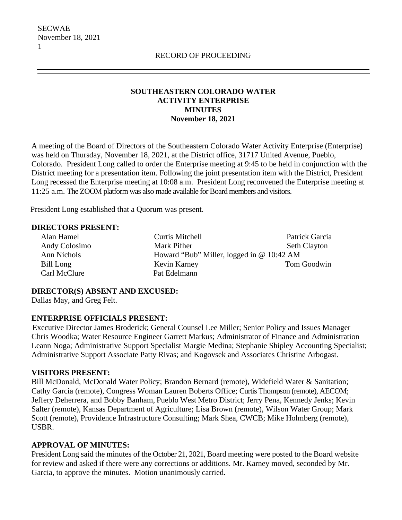## **SOUTHEASTERN COLORADO WATER ACTIVITY ENTERPRISE MINUTES November 18, 2021**

A meeting of the Board of Directors of the Southeastern Colorado Water Activity Enterprise (Enterprise) was held on Thursday, November 18, 2021, at the District office, 31717 United Avenue, Pueblo, Colorado. President Long called to order the Enterprise meeting at 9:45 to be held in conjunction with the District meeting for a presentation item. Following the joint presentation item with the District, President Long recessed the Enterprise meeting at 10:08 a.m. President Long reconvened the Enterprise meeting at 11:25 a.m. The ZOOM platform was also made available for Board members and visitors.

President Long established that a Quorum was present.

#### **DIRECTORS PRESENT:**

 Alan Hamel Curtis Mitchell Patrick Garcia Andy Colosimo Mark Pifher Seth Clayton Ann Nichols Howard "Bub" Miller, logged in @ 10:42 AM Bill Long Kevin Karney Tom Goodwin Carl McClure Pat Edelmann

## **DIRECTOR(S) ABSENT AND EXCUSED:**

Dallas May, and Greg Felt.

#### **ENTERPRISE OFFICIALS PRESENT:**

 Executive Director James Broderick; General Counsel Lee Miller; Senior Policy and Issues Manager Chris Woodka; Water Resource Engineer Garrett Markus; Administrator of Finance and Administration Leann Noga; Administrative Support Specialist Margie Medina; Stephanie Shipley Accounting Specialist; Administrative Support Associate Patty Rivas; and Kogovsek and Associates Christine Arbogast.

#### **VISITORS PRESENT:**

Bill McDonald, McDonald Water Policy; Brandon Bernard (remote), Widefield Water & Sanitation; Cathy Garcia (remote), Congress Woman Lauren Boberts Office; Curtis Thompson (remote), AECOM; Jeffery Deherrera, and Bobby Banham, Pueblo West Metro District; Jerry Pena, Kennedy Jenks; Kevin Salter (remote), Kansas Department of Agriculture; Lisa Brown (remote), Wilson Water Group; Mark Scott (remote), Providence Infrastructure Consulting; Mark Shea, CWCB; Mike Holmberg (remote), USBR.

#### **APPROVAL OF MINUTES:**

President Long said the minutes of the October 21, 2021, Board meeting were posted to the Board website for review and asked if there were any corrections or additions. Mr. Karney moved, seconded by Mr. Garcia, to approve the minutes. Motion unanimously carried.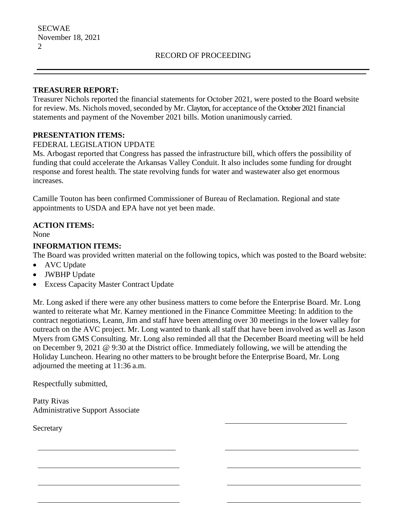#### **TREASURER REPORT:**

Treasurer Nichols reported the financial statements for October 2021, were posted to the Board website for review. Ms. Nichols moved, seconded by Mr. Clayton, for acceptance of the October 2021 financial statements and payment of the November 2021 bills. Motion unanimously carried.

### **PRESENTATION ITEMS:**

#### FEDERAL LEGISLATION UPDATE

Ms. Arbogast reported that Congress has passed the infrastructure bill, which offers the possibility of funding that could accelerate the Arkansas Valley Conduit. It also includes some funding for drought response and forest health. The state revolving funds for water and wastewater also get enormous increases.

Camille Touton has been confirmed Commissioner of Bureau of Reclamation. Regional and state appointments to USDA and EPA have not yet been made.

## **ACTION ITEMS:**

None

#### **INFORMATION ITEMS:**

The Board was provided written material on the following topics, which was posted to the Board website:

- AVC Update
- JWBHP Update
- Excess Capacity Master Contract Update

Mr. Long asked if there were any other business matters to come before the Enterprise Board. Mr. Long wanted to reiterate what Mr. Karney mentioned in the Finance Committee Meeting: In addition to the contract negotiations, Leann, Jim and staff have been attending over 30 meetings in the lower valley for outreach on the AVC project. Mr. Long wanted to thank all staff that have been involved as well as Jason Myers from GMS Consulting. Mr. Long also reminded all that the December Board meeting will be held on December 9, 2021 @ 9:30 at the District office. Immediately following, we will be attending the Holiday Luncheon. Hearing no other matters to be brought before the Enterprise Board, Mr. Long adjourned the meeting at 11:36 a.m.

Respectfully submitted,

Patty Rivas Administrative Support Associate

**Secretary**